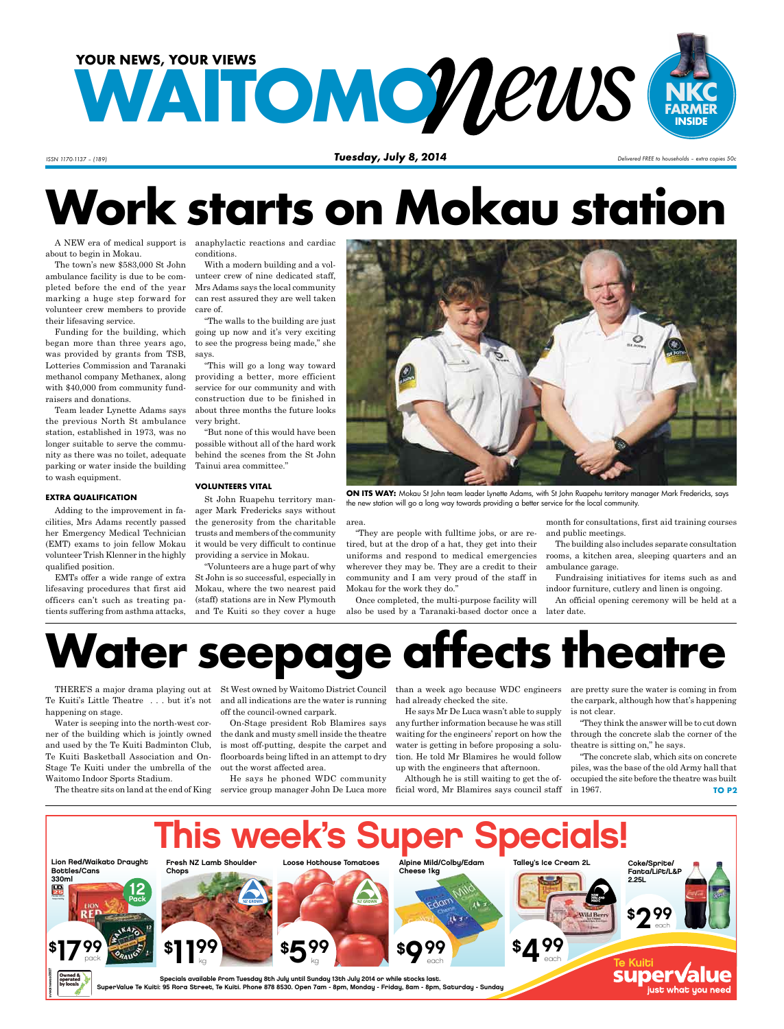

*ISSN 1170-1137 – (189) Tuesday, July 8, 2014 Delivered FREE to households – extra copies 50c*

# **Work starts on Mokau station**

A NEW era of medical support is anaphylactic reactions and cardiac about to begin in Mokau.

The town's new \$583,000 St John ambulance facility is due to be completed before the end of the year marking a huge step forward for volunteer crew members to provide their lifesaving service.

Funding for the building, which began more than three years ago, was provided by grants from TSB, Lotteries Commission and Taranaki methanol company Methanex, along with \$40,000 from community fundraisers and donations.

Team leader Lynette Adams says the previous North St ambulance station, established in 1973, was no longer suitable to serve the community as there was no toilet, adequate parking or water inside the building to wash equipment.

#### **EXTRA QUALIFICATION**

Adding to the improvement in facilities, Mrs Adams recently passed her Emergency Medical Technician (EMT) exams to join fellow Mokau volunteer Trish Klenner in the highly qualified position.

EMTs offer a wide range of extra lifesaving procedures that first aid officers can't such as treating patients suffering from asthma attacks,

conditions. With a modern building and a vol-

unteer crew of nine dedicated staff, Mrs Adams says the local community can rest assured they are well taken care of.

"The walls to the building are just going up now and it's very exciting to see the progress being made," she says.

"This will go a long way toward providing a better, more efficient service for our community and with construction due to be finished in about three months the future looks very bright.

"But none of this would have been possible without all of the hard work behind the scenes from the St John Tainui area committee."

### **VOLUNTEERS VITAL**

St John Ruapehu territory manager Mark Fredericks says without the generosity from the charitable trusts and members of the community it would be very difficult to continue providing a service in Mokau.

"Volunteers are a huge part of why St John is so successful, especially in Mokau, where the two nearest paid (staff) stations are in New Plymouth and Te Kuiti so they cover a huge



**ON ITS WAY:** Mokau St John team leader Lynette Adams, with St John Ruapehu territory manager Mark Fredericks, says the new station will go a long way towards providing a better service for the local community.

area.

"They are people with fulltime jobs, or are retired, but at the drop of a hat, they get into their uniforms and respond to medical emergencies wherever they may be. They are a credit to their community and I am very proud of the staff in Mokau for the work they do."

Once completed, the multi-purpose facility will also be used by a Taranaki-based doctor once a later date.

month for consultations, first aid training courses and public meetings.

The building also includes separate consultation rooms, a kitchen area, sleeping quarters and an ambulance garage.

Fundraising initiatives for items such as and indoor furniture, cutlery and linen is ongoing.

An official opening ceremony will be held at a

# **Water seepage affects theatre**

Te Kuiti's Little Theatre . . . but it's not happening on stage.

Water is seeping into the north-west corner of the building which is jointly owned and used by the Te Kuiti Badminton Club, Te Kuiti Basketball Association and On-Stage Te Kuiti under the umbrella of the Waitomo Indoor Sports Stadium.

and all indications are the water is running off the council-owned carpark.

On-Stage president Rob Blamires says the dank and musty smell inside the theatre is most off-putting, despite the carpet and floorboards being lifted in an attempt to dry out the worst affected area.

The theatre sits on land at the end of King service group manager John De Luca more He says he phoned WDC community

THERE'S a major drama playing out at St West owned by Waitomo District Council than a week ago because WDC engineers had already checked the site.

> He says Mr De Luca wasn't able to supply any further information because he was still waiting for the engineers' report on how the water is getting in before proposing a solution. He told Mr Blamires he would follow up with the engineers that afternoon.

> Although he is still waiting to get the official word, Mr Blamires says council staff

are pretty sure the water is coming in from the carpark, although how that's happening is not clear.

"They think the answer will be to cut down through the concrete slab the corner of the theatre is sitting on," he says.

"The concrete slab, which sits on concrete piles, was the base of the old Army hall that occupied the site before the theatre was built in 1967. **TO P2**